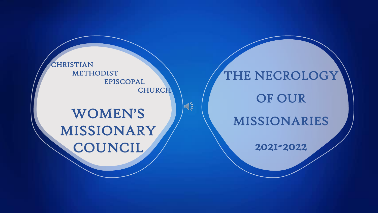CHRISTIAN METHODIST EPISCOPAL **CHURCH** 

 $\sqrt{\frac{2}{5}}$ 

# WOMEN'S MISSIONARY **COUNCIL**

THE NECROLOGY OF OUR MISSIONARIES 2021-2022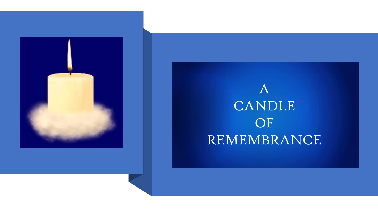

# A CANDLE OF REMEMBRANCE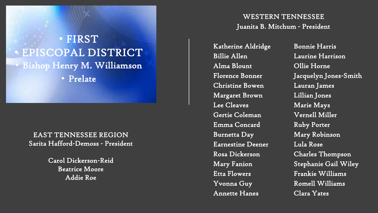## • FIRST • EPISCOPAL DISTRICT • Bishop Henry M. Williamson • Prelate

EAST TENNESSEE REGION Sarita Hafford-Demoss - President

> Carol Dickerson-Reid Beatrice Moore Addie Roe

WESTERN TENNESSEE Juanita B. Mitchum - President

Katherine Aldridge Billie Allen Alma Blount Florence Bonner Christine Bowen Margaret Brown Lee Cleaves Gertie Coleman Emma Concard Burnetta Day Earnestine Deener Rosa Dickerson Mary Fanion Etta Flowers Yvonna Guy Annette Hanes

Bonnie Harris Laurine Harrison Ollie Horne Jacquelyn Jones-Smith Lauran James Lillian Jones Marie Mays Vernell Miller Ruby Porter Mary Robinson Lula Rose Charles Thompson Stephanie Gail Wiley Frankie Williams Romell Williams Clara Yates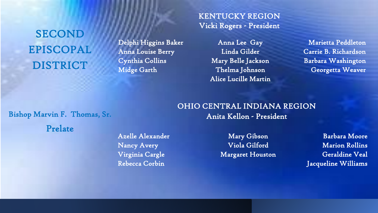SECOND EPISCOPAL DISTRICT

Delphi Higgins Baker Anna Louise Berry Cynthia Collins Midge Garth

KENTUCKY REGION Vicki Rogers - President

> Anna Lee Gay Linda Gilder Mary Belle Jackson Thelma Johnson Alice Lucille Martin

Marietta Peddleton Carrie B. Richardson Barbara Washington Georgetta Weaver

#### Bishop Marvin F. Thomas, Sr.

Prelate

Azelle Alexander Nancy Avery Virginia Cargle Rebecca Corbin

OHIO CENTRAL INDIANA REGION Anita Kellon - President

> Mary Gibson Viola Gilford Margaret Houston

Barbara Moore Marion Rollins Geraldine Veal Jacqueline Williams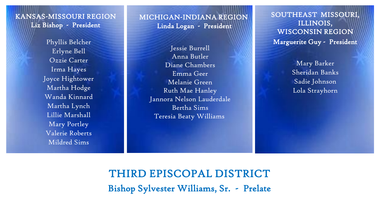KANSAS-MISSOURI REGION Liz Bishop - President

> Phyllis Belcher Erlyne Bell Ozzie Carter Irma Hayes Joyce Hightower Martha Hodge Wanda Kinnard Martha Lynch Lillie Marshall Mary Portley Valerie Roberts Mildred Sims

MICHIGAN-INDIANA REGION Linda Logan - President

Jessie Burrell Anna Butler Diane Chambers Emma Geer Melanie Green Ruth Mae Hanley Jannora Nelson Lauderdale Bertha Sims Teresia Beaty Williams

SOUTHEAST MISSOURI, ILLINOIS, WISCONSIN REGION Marguerite Guy - President

> Mary Barker Sheridan Banks Sadie Johnson Lola Strayhorn

THIRD EPISCOPAL DISTRICT Bishop Sylvester Williams, Sr. - Prelate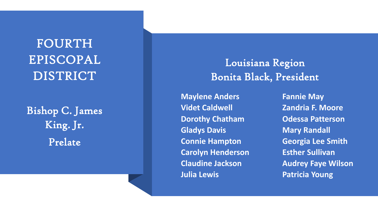# FOURTH EPISCOPAL DISTRICT

Bishop C. James King. Jr. Prelate

Louisiana Region Bonita Black, President

**Maylene Anders Videt Caldwell Dorothy Chatham Gladys Davis Connie Hampton Carolyn Henderson Claudine Jackson Julia Lewis**

**Fannie May Zandria F. Moore Odessa Patterson Mary Randall Georgia Lee Smith Esther Sullivan Audrey Faye Wilson Patricia Young**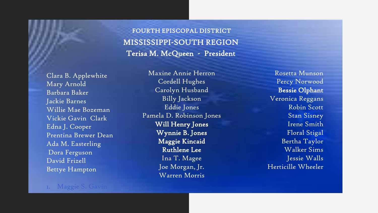MISSISSIPPI-SOUTH REGION Terisa M. McQueen - President FOURTH EPISCOPAL DISTRICT

Clara B. Applewhite Mary Arnold Barbara Baker Jackie Barnes Willie Mae Bozeman Vickie Gavin Clark Edna J. Cooper Prentina Brewer Dean Ada M. Easterling Dora Ferguson David Frizell Bettye Hampton

Maxine Annie Herron Cordell Hughes Carolyn Husband Billy Jackson Eddie Jones Pamela D. Robinson Jones Will Henry Jones Wynnie B. Jones Maggie Kincaid Ruthlene Lee Ina T. Magee Joe Morgan, Jr. Warren Morris

Rosetta Munson Percy Norwood Bessie Olphant Veronica Reggans Robin Scott Stan Sisney Irene Smith Floral Stigal Bertha Taylor Walker Sims Jessie Walls Herticille Wheeler

#### 1. Maggie S. Gavin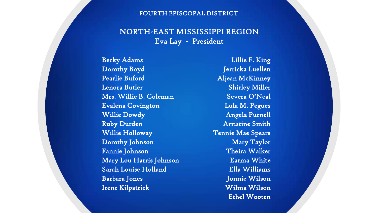#### FOURTH EPISCOPAL DISTRICT

#### NORTH-EAST MISSISSIPPI REGION Eva Lay - President

Becky Adams Dorothy Boyd Pearlie Buford Lenora Butler Mrs. Willie B. Coleman Evalena Covington Willie Dowdy Ruby Durden Willie Holloway Dorothy Johnson Fannie Johnson Mary Lou Harris Johnson Sarah Louise Holland Barbara Jones Irene Kilpatrick

Lillie F. King Jerricka Luellen Aljean McKinney Shirley Miller Severa O'Neal Lula M. Pegues Angela Purnell Arristine Smith Tennie Mae Spears Mary Taylor Theira Walker Earma White Ella Williams Jonnie Wilson Wilma Wilson Ethel Wooten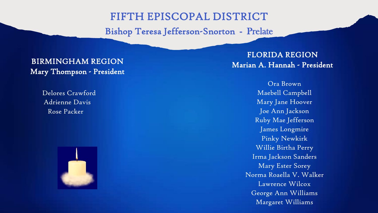## FIFTH EPISCOPAL DISTRICT

Bishop Teresa Jefferson-Snorton - Prelate

### BIRMINGHAM REGION Mary Thompson - President

Delores Crawford Adrienne Davis Rose Packer



FLORIDA REGION Marian A. Hannah - President

> Ora Brown Maebell Campbell Mary Jane Hoover Joe Ann Jackson Ruby Mae Jefferson James Longmire Pinky Newkirk Willie Birtha Perry Irma Jackson Sanders Mary Ester Sorey Norma Roaella V. Walker Lawrence Wilcox George Ann Williams Margaret Williams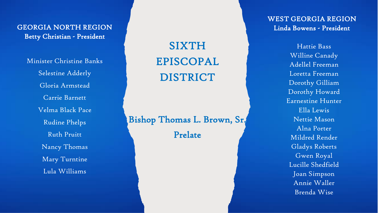GEORGIA NORTH REGION Betty Christian - President

Minister Christine Banks Selestine Adderly Gloria Armstead Carrie Barnett Velma Black Pace Rudine Phelps Ruth Pruitt Nancy Thomas Mary Turntine Lula Williams

SIXTH EPISCOPAL DISTRICT

Bishop Thomas L. Brown, Sr. Prelate

WEST GEORGIA REGION Linda Bowens - President

> Hattie Bass Willine Canady Adellel Freeman Loretta Freeman Dorothy Gilliam Dorothy Howard Earnestine Hunter Ella Lewis Nettie Mason Alna Porter Mildred Render Gladys Roberts Gwen Royal Lucille Shedfield Joan Simpson Annie Waller Brenda Wise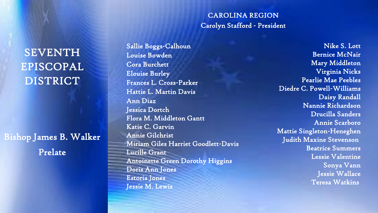## **SEVENTH** EPISCOPAL DISTRICT

Bishop James B. Walker Prelate

#### CAROLINA REGION Carolyn Stafford - President

Sallie Boggs-Calhoun Louise Bowden Cora Burchett Elouise Burley Frances L. Cross-Parker Hattie L. Martin Davis Ann Diaz Jessica Dortch Flora M. Middleton Gantt Katie C. Garvin Annie Gilchrist Miriam Giles Harriet Goodlett-Davis Lucille Grant Antoinette Green Dorothy Higgins Doris Ann Jones Estoria Jones Jessie M. Lewis

Nike S. Lott Bernice McNair Mary Middleton Virginia Nicks Pearlie Mae Peebles Diedre C. Powell-Williams Daisy Randall Nannie Richardson Drucilla Sanders Annie Scarboro Mattie Singleton-Heneghen Judith Maxine Stevenson Beatrice Summers Lessie Valentine Sonya Vann Jessie Wallace Teresa Watkins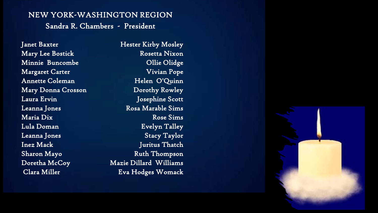### NEW YORK-WASHINGTON REGION Sandra R. Chambers - President

Janet Baxter Mary Lee Bostick Minnie Buncombe Margaret Carter Annette Coleman Mary Donna Crosson Laura Ervin Leanna Jones Maria Dix Lula Doman Leanna Jones Inez Mack Sharon Mayo Doretha McCoy Clara Miller

Hester Kirby Mosley Rosetta Nixon Ollie Olidge Vivian Pope Helen O'Quinn Dorothy Rowley Josephine Scott Rosa Marable Sims Rose Sims Evelyn Talley Stacy Taylor Juritus Thatch Ruth Thompson Mazie Dillard Williams Eva Hodges Womack

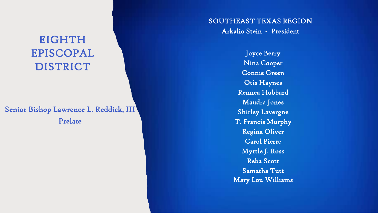## EIGHTH EPISCOPAL DISTRICT

### Senior Bishop Lawrence L. Reddick, III Prelate

#### SOUTHEAST TEXAS REGION Arkalio Stein - President

Joyce Berry Nina Cooper Connie Green Otis Haynes Rennea Hubbard Maudra Jones Shirley Lavergne T. Francis Murphy Regina Oliver Carol Pierre Myrtle J. Ross Reba Scott Samatha Tutt Mary Lou Williams